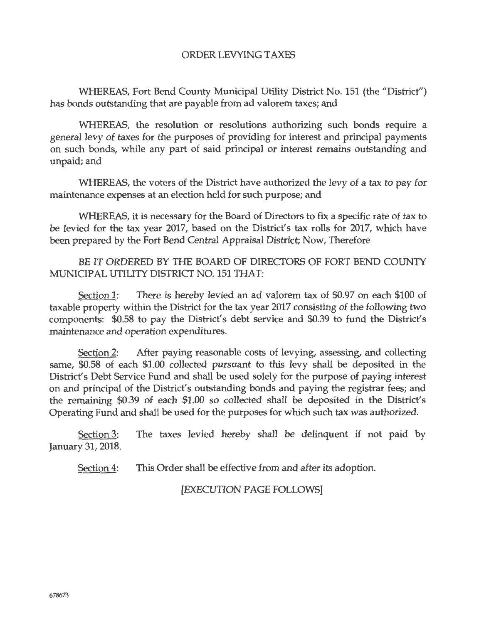## ORDER LEVYING TAXES

WHEREAS, Fort Bend County Municipal Utility District No. 151 (the "District") has bonds outstanding that are payable from ad valorem taxes; and

WHEREAS, the resolution or resolutions authorizing such bonds require a general levy of taxes for the purposes of providing for interest and principal payments on such bonds, while any part of said principal or interest remains outstanding and unpaid; and

WHEREAS, the voters of the District have authorized the levy of a tax to pay for maintenance expenses at an election held for such purpose; and

WHEREAS, it is necessary for the Board of Directors to fix a specific rate of tax to be levied for the tax year 2017, based on the District's tax rolls for 2017, which have been prepared by the Fort Bend Central Appraisal District; Now, Therefore

BE IT ORDERED BY THE BOARD OF DIRECTORS OF FORT BEND COUNTY MUNICIPAL UTILITY DISTRICT NO. 151 THAT:

Section 1: There is hereby levied an ad valorem tax of \$0.97 on each \$100 of taxable property within the District for the tax year 2017 consisting of the following two components: \$0.58 to pay the District's debt service and \$0.39 to fund the District's maintenance and operation expenditures.

Section 2: After paying reasonable costs of levying, assessing, and collecting same, \$0.58 of each \$1.00 collected pursuant to this levy shall be deposited in the District's Debt Service Fund and shall be used solely for the purpose of paying interest on and principal of the District's outstanding bonds and paying the registrar fees; and the remaining \$0.39 of each \$1.00 so collected shall be deposited in the District's Operating Fund and shall be used for the purposes for which such tax was authorized.

Section 3: The taxes levied hereby shall be delinquent if not paid by January 31, 2018.

Section 4: This Order shall be effective from and after its adoption.

[EXECUTION PAGE FOLLOWS]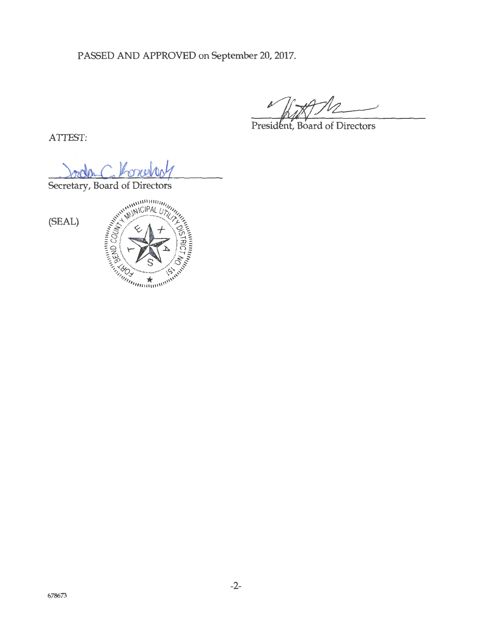PASSED AND APPROVED on September 20, 2017.

President, Board of Directors

ATTEST:

Secretary, Board of Directors